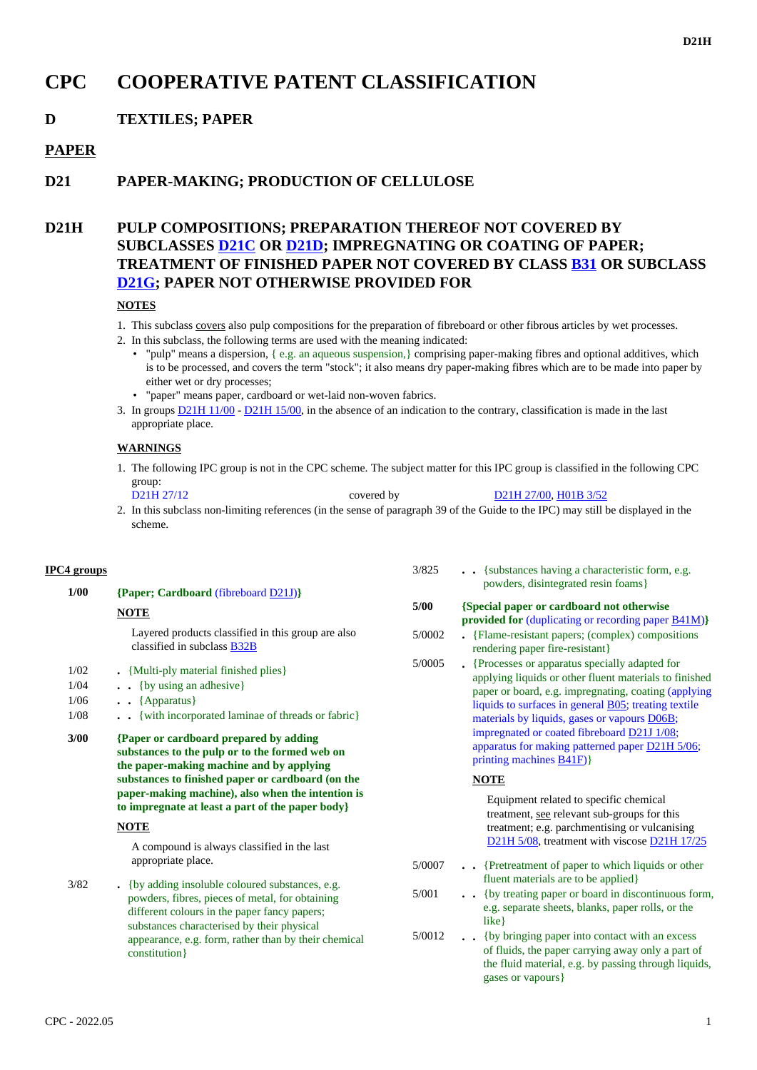# **CPC COOPERATIVE PATENT CLASSIFICATION**

## **D TEXTILES; PAPER**

### **PAPER**

## **D21 PAPER-MAKING; PRODUCTION OF CELLULOSE**

## **D21H PULP COMPOSITIONS; PREPARATION THEREOF NOT COVERED BY SUBCLASSES D21C OR D21D; IMPREGNATING OR COATING OF PAPER; TREATMENT OF FINISHED PAPER NOT COVERED BY CLASS B31 OR SUBCLASS D21G; PAPER NOT OTHERWISE PROVIDED FOR**

### **NOTES**

- 1. This subclass covers also pulp compositions for the preparation of fibreboard or other fibrous articles by wet processes.
- 2. In this subclass, the following terms are used with the meaning indicated:
	- "pulp" means a dispersion, { e.g. an aqueous suspension,} comprising paper-making fibres and optional additives, which is to be processed, and covers the term "stock"; it also means dry paper-making fibres which are to be made into paper by either wet or dry processes;
	- "paper" means paper, cardboard or wet-laid non-woven fabrics.
- 3. In groups  $D21H1/00 D21H15/00$ , in the absence of an indication to the contrary, classification is made in the last appropriate place.

### **WARNINGS**

- 1. The following IPC group is not in the CPC scheme. The subject matter for this IPC group is classified in the following CPC group:
- D21H 27/12 covered by D21H 27/00, H01B 3/52 2. In this subclass non-limiting references (in the sense of paragraph 39 of the Guide to the IPC) may still be displayed in the scheme.

#### **IPC4 groups 1/00 {Paper; Cardboard** (fibreboard D21J)**} NOTE** Layered products classified in this group are also classified in subclass B32B 1/02 **.** {Multi-ply material finished plies} 1/04 **. .** {by using an adhesive} 1/06 **. .** {Apparatus} 1/08 **. .** {with incorporated laminae of threads or fabric}  **3/00 {Paper or cardboard prepared by adding substances to the pulp or to the formed web on the paper-making machine and by applying substances to finished paper or cardboard (on the paper-making machine), also when the intention is to impregnate at least a part of the paper body} NOTE** A compound is always classified in the last appropriate place. 3/82 **.** {by adding insoluble coloured substances, e.g. powders, fibres, pieces of metal, for obtaining different colours in the paper fancy papers; substances characterised by their physical appearance, e.g. form, rather than by their chemical constitution} 3/825 **. .** {substances having a characteristic form, e.g. powders, disintegrated resin foams}  **5/00 {Special paper or cardboard not otherwise provided for** (duplicating or recording paper B41M)**}** 5/0002 **.** {Flame-resistant papers; (complex) compositions rendering paper fire-resistant} 5/0005 **.** {Processes or apparatus specially adapted for applying liquids or other fluent materials to finished paper or board, e.g. impregnating, coating (applying liquids to surfaces in general B05; treating textile materials by liquids, gases or vapours D06B; impregnated or coated fibreboard D21J 1/08; apparatus for making patterned paper D21H 5/06; printing machines B41F)} **NOTE** Equipment related to specific chemical treatment, see relevant sub-groups for this treatment; e.g. parchmentising or vulcanising D21H 5/08, treatment with viscose D21H 17/25 5/0007 **. .** {Pretreatment of paper to which liquids or other fluent materials are to be applied} 5/001 **. .** {by treating paper or board in discontinuous form, e.g. separate sheets, blanks, paper rolls, or the like} 5/0012 **. .** {by bringing paper into contact with an excess of fluids, the paper carrying away only a part of the fluid material, e.g. by passing through liquids, gases or vapours}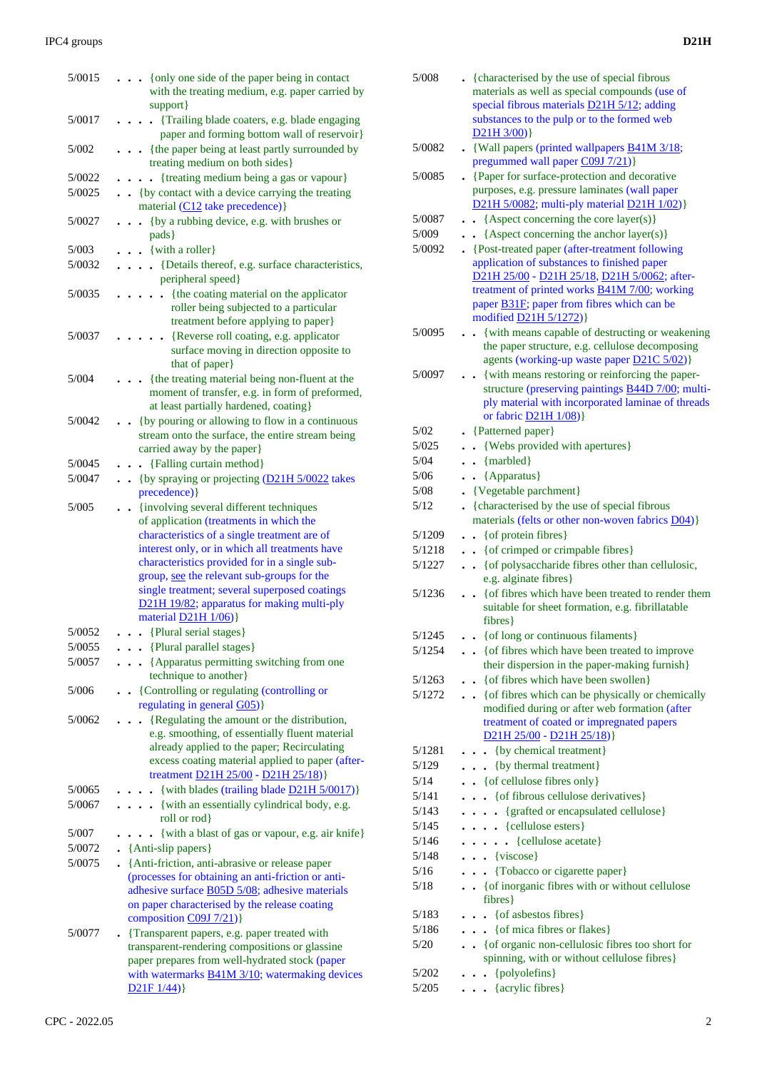| 5/0015 | {only one side of the paper being in contact<br>with the treating medium, e.g. paper carried by                                                                                          |
|--------|------------------------------------------------------------------------------------------------------------------------------------------------------------------------------------------|
| 5/0017 | support}<br>{Trailing blade coaters, e.g. blade engaging<br>$\ddot{\phantom{0}}$<br>paper and forming bottom wall of reservoir}                                                          |
| 5/002  | . {the paper being at least partly surrounded by<br>treating medium on both sides}                                                                                                       |
| 5/0022 | • {treating medium being a gas or vapour}                                                                                                                                                |
| 5/0025 | . . {by contact with a device carrying the treating<br>material (C12 take precedence) }                                                                                                  |
| 5/0027 | {by a rubbing device, e.g. with brushes or<br>$\ddot{\phantom{0}}$<br>pads }                                                                                                             |
| 5/003  | $\bullet$ $\bullet$ {with a roller}                                                                                                                                                      |
| 5/0032 | {Details thereof, e.g. surface characteristics,<br>$\ddot{\phantom{0}}$<br>peripheral speed}                                                                                             |
| 5/0035 | {the coating material on the applicator<br>$\mathbf{r}$<br>roller being subjected to a particular<br>treatment before applying to paper}                                                 |
| 5/0037 | {Reverse roll coating, e.g. applicator<br>surface moving in direction opposite to<br>that of paper}                                                                                      |
| 5/004  | {the treating material being non-fluent at the<br>moment of transfer, e.g. in form of preformed,<br>at least partially hardened, coating}                                                |
| 5/0042 | {by pouring or allowing to flow in a continuous<br>$\sim$                                                                                                                                |
|        | stream onto the surface, the entire stream being<br>carried away by the paper}                                                                                                           |
| 5/0045 | {Falling curtain method}                                                                                                                                                                 |
| 5/0047 | . . {by spraying or projecting (D21H 5/0022 takes<br>precedence) }                                                                                                                       |
| 5/005  | {involving several different techniques<br>of application (treatments in which the                                                                                                       |
|        | characteristics of a single treatment are of                                                                                                                                             |
|        | interest only, or in which all treatments have<br>characteristics provided for in a single sub-                                                                                          |
|        | group, see the relevant sub-groups for the                                                                                                                                               |
|        | single treatment; several superposed coatings                                                                                                                                            |
|        | D21H 19/82; apparatus for making multi-ply<br>material $D21H 1/06$ }                                                                                                                     |
| 5/0052 | . {Plural serial stages}                                                                                                                                                                 |
| 5/0055 | . . {Plural parallel stages}                                                                                                                                                             |
| 5/0057 | . {Apparatus permitting switching from one<br>technique to another}                                                                                                                      |
| 5/006  | • {Controlling or regulating (controlling or<br>regulating in general G05)}                                                                                                              |
| 5/0062 | {Regulating the amount or the distribution,                                                                                                                                              |
|        | e.g. smoothing, of essentially fluent material<br>already applied to the paper; Recirculating                                                                                            |
|        | excess coating material applied to paper (after-<br>treatment <b>D21H 25/00</b> - <b>D21H 25/18</b> )}                                                                                   |
| 5/0065 | - {with blades (trailing blade $D21H 5/0017$ )}                                                                                                                                          |
| 5/0067 | • {with an essentially cylindrical body, e.g.<br>roll or rod}                                                                                                                            |
| 5/007  | {with a blast of gas or vapour, e.g. air knife}                                                                                                                                          |
| 5/0072 | $\bullet$ {Anti-slip papers}                                                                                                                                                             |
| 5/0075 | • {Anti-friction, anti-abrasive or release paper                                                                                                                                         |
|        | (processes for obtaining an anti-friction or anti-<br>adhesive surface <b>B05D 5/08</b> ; adhesive materials<br>on paper characterised by the release coating<br>composition C09J 7/21)} |
| 5/0077 | {Transparent papers, e.g. paper treated with<br>transparent-rendering compositions or glassine                                                                                           |
|        | paper prepares from well-hydrated stock (paper                                                                                                                                           |
|        | with watermarks $\underline{B41M}$ 3/10; watermaking devices                                                                                                                             |
|        | D21F1/44)                                                                                                                                                                                |

| 5/008  | . {characterised by the use of special fibrous<br>materials as well as special compounds (use of<br>special fibrous materials D21H 5/12; adding<br>substances to the pulp or to the formed web                                                                                   |
|--------|----------------------------------------------------------------------------------------------------------------------------------------------------------------------------------------------------------------------------------------------------------------------------------|
|        | D21H 3/00)                                                                                                                                                                                                                                                                       |
| 5/0082 | • {Wall papers (printed wallpapers <b>B41M 3/18</b> ;<br>pregummed wall paper C09J 7/21)}                                                                                                                                                                                        |
| 5/0085 | • {Paper for surface-protection and decorative<br>purposes, e.g. pressure laminates (wall paper<br>D21H 5/0082; multi-ply material D21H 1/02)}                                                                                                                                   |
|        |                                                                                                                                                                                                                                                                                  |
| 5/0087 | • {Aspect concerning the core layer(s)}                                                                                                                                                                                                                                          |
| 5/009  | • {Aspect concerning the anchor layer(s)}                                                                                                                                                                                                                                        |
| 5/0092 | • {Post-treated paper (after-treatment following<br>application of substances to finished paper<br>D21H 25/00 - D21H 25/18, D21H 5/0062; after-<br>treatment of printed works <b>B41M 7/00</b> ; working<br>paper B31F; paper from fibres which can be<br>modified D21H 5/1272)} |
| 5/0095 | {with means capable of destructing or weakening                                                                                                                                                                                                                                  |
|        | the paper structure, e.g. cellulose decomposing<br>agents (working-up waste paper D21C 5/02)}                                                                                                                                                                                    |
| 5/0097 | • {with means restoring or reinforcing the paper-                                                                                                                                                                                                                                |
|        | structure (preserving paintings B44D 7/00; multi-<br>ply material with incorporated laminae of threads<br>or fabric D21H 1/08)}                                                                                                                                                  |
| 5/02   | • {Patterned paper}                                                                                                                                                                                                                                                              |
| 5/025  | • {Webs provided with apertures}                                                                                                                                                                                                                                                 |
| 5/04   | $\bullet$ {marbled}                                                                                                                                                                                                                                                              |
| 5/06   | $\bullet$ {Apparatus}                                                                                                                                                                                                                                                            |
| 5/08   | {Vegetable parchment}                                                                                                                                                                                                                                                            |
| 5/12   | . {characterised by the use of special fibrous                                                                                                                                                                                                                                   |
| 5/1209 | materials (felts or other non-woven fabrics D04)}<br>$\bullet$ { of protein fibres }                                                                                                                                                                                             |
| 5/1218 | { of crimped or crimpable fibres }                                                                                                                                                                                                                                               |
| 5/1227 | • • { of polysaccharide fibres other than cellulosic,                                                                                                                                                                                                                            |
|        | e.g. alginate fibres}                                                                                                                                                                                                                                                            |
| 5/1236 | {of fibres which have been treated to render them<br>$\ddot{\phantom{a}}$<br>suitable for sheet formation, e.g. fibrillatable<br>$fibres$ }                                                                                                                                      |
| 5/1245 | {of long or continuous filaments}                                                                                                                                                                                                                                                |
| 5/1254 | {of fibres which have been treated to improve<br>$\ddot{\phantom{0}}$                                                                                                                                                                                                            |
|        | their dispersion in the paper-making furnish}                                                                                                                                                                                                                                    |
| 5/1263 | • { of fibres which have been swollen}                                                                                                                                                                                                                                           |
| 5/1272 | • { of fibres which can be physically or chemically<br>modified during or after web formation (after<br>treatment of coated or impregnated papers<br>D21H 25/00 - D21H 25/18)                                                                                                    |
| 5/1281 | • {by chemical treatment}                                                                                                                                                                                                                                                        |
| 5/129  | {by thermal treatment}                                                                                                                                                                                                                                                           |
| 5/14   | • { of cellulose fibres only }                                                                                                                                                                                                                                                   |
| 5/141  | . . { of fibrous cellulose derivatives }                                                                                                                                                                                                                                         |
| 5/143  | {grafted or encapsulated cellulose}                                                                                                                                                                                                                                              |
| 5/145  | $\ldots$ {cellulose esters}                                                                                                                                                                                                                                                      |
| 5/146  | • {cellulose acetate}<br>$\ddotsc$ $\ddotsc$                                                                                                                                                                                                                                     |
| 5/148  | $\bullet \bullet$ {viscose}                                                                                                                                                                                                                                                      |
| 5/16   | {Tobacco or cigarette paper}                                                                                                                                                                                                                                                     |
| 5/18   |                                                                                                                                                                                                                                                                                  |
|        | • • { of inorganic fibres with or without cellulose<br>fibres }                                                                                                                                                                                                                  |
| 5/183  | {of asbestos fibres}<br>$\ddot{\phantom{0}}$                                                                                                                                                                                                                                     |
| 5/186  | {of mica fibres or flakes}<br>$\ddot{\phantom{0}}$                                                                                                                                                                                                                               |
| 5/20   | { of organic non-cellulosic fibres too short for<br>spinning, with or without cellulose fibres}                                                                                                                                                                                  |
| 5/202  | {polyolefins}<br>$\ddot{\phantom{0}}$                                                                                                                                                                                                                                            |
| 5/205  | {acrylic fibres}<br>$\ddot{\phantom{0}}$                                                                                                                                                                                                                                         |
|        |                                                                                                                                                                                                                                                                                  |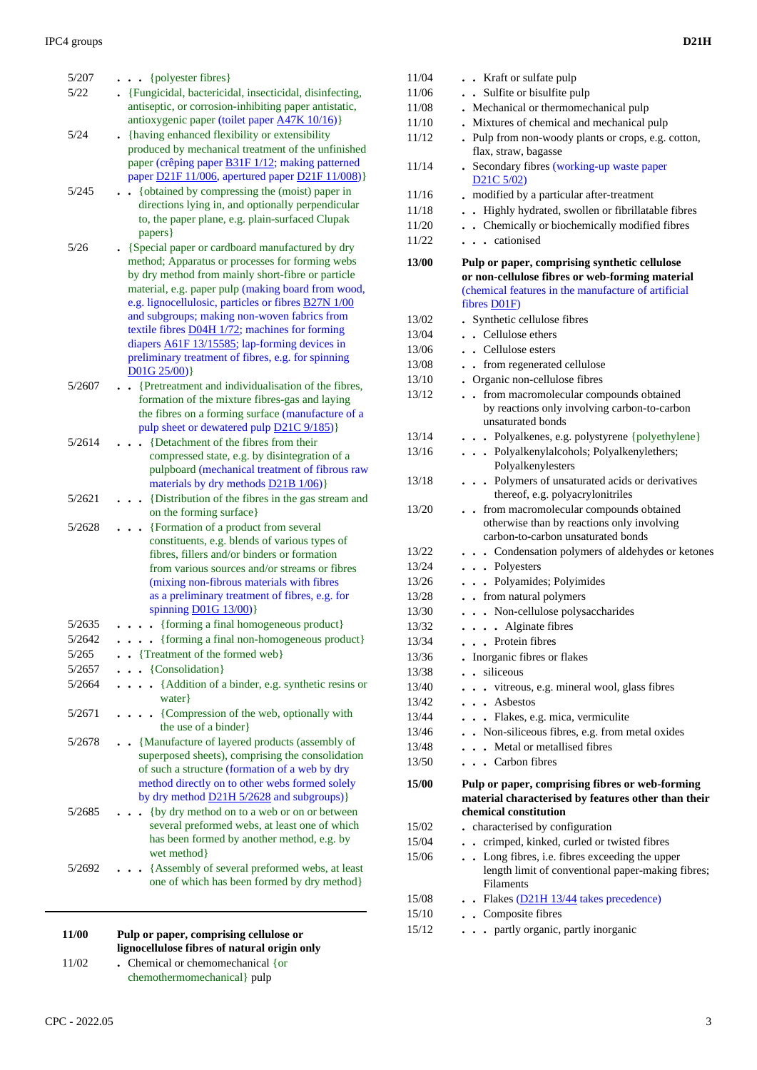| 5/207  | $\cdots$ {polyester fibres}                                                                             |
|--------|---------------------------------------------------------------------------------------------------------|
| 5/22   | . {Fungicidal, bactericidal, insecticidal, disinfecting,                                                |
|        | antiseptic, or corrosion-inhibiting paper antistatic,                                                   |
| 5/24   | antioxygenic paper (toilet paper A47K 10/16)}<br>. {having enhanced flexibility or extensibility        |
|        | produced by mechanical treatment of the unfinished                                                      |
|        | paper (crêping paper <b>B31F 1/12</b> ; making patterned                                                |
|        | paper D21F 11/006, apertured paper D21F 11/008)}                                                        |
| 5/245  | {obtained by compressing the (moist) paper in                                                           |
|        | directions lying in, and optionally perpendicular<br>to, the paper plane, e.g. plain-surfaced Clupak    |
|        | papers }                                                                                                |
| 5/26   | {Special paper or cardboard manufactured by dry                                                         |
|        | method; Apparatus or processes for forming webs                                                         |
|        | by dry method from mainly short-fibre or particle<br>material, e.g. paper pulp (making board from wood, |
|        | e.g. lignocellulosic, particles or fibres <b>B27N</b> 1/00                                              |
|        | and subgroups; making non-woven fabrics from                                                            |
|        | textile fibres D04H 1/72; machines for forming                                                          |
|        | diapers <b>A61F 13/15585</b> ; lap-forming devices in                                                   |
|        | preliminary treatment of fibres, e.g. for spinning<br>D01G 25/00)                                       |
| 5/2607 | {Pretreatment and individualisation of the fibres,                                                      |
|        | formation of the mixture fibres-gas and laying                                                          |
|        | the fibres on a forming surface (manufacture of a                                                       |
| 5/2614 | pulp sheet or dewatered pulp D21C 9/185)}<br>{Detachment of the fibres from their                       |
|        | compressed state, e.g. by disintegration of a                                                           |
|        | pulpboard (mechanical treatment of fibrous raw                                                          |
|        | materials by dry methods D21B 1/06)}                                                                    |
| 5/2621 | {Distribution of the fibres in the gas stream and                                                       |
| 5/2628 | on the forming surface}<br>{Formation of a product from several                                         |
|        | constituents, e.g. blends of various types of                                                           |
|        | fibres, fillers and/or binders or formation                                                             |
|        | from various sources and/or streams or fibres                                                           |
|        | (mixing non-fibrous materials with fibres<br>as a preliminary treatment of fibres, e.g. for             |
|        | spinning D01G 13/00)}                                                                                   |
| 5/2635 | • {forming a final homogeneous product}                                                                 |
| 5/2642 | • {forming a final non-homogeneous product}                                                             |
| 5/265  | • {Treatment of the formed web}                                                                         |
| 5/2657 | $\bullet \bullet \{Consolidation\}$                                                                     |
| 5/2664 | {Addition of a binder, e.g. synthetic resins or<br>$\ddot{\phantom{a}}$<br>water }                      |
| 5/2671 | {Compression of the web, optionally with<br>$\ddot{\phantom{0}}$                                        |
|        | the use of a binder}                                                                                    |
| 5/2678 | {Manufacture of layered products (assembly of                                                           |
|        | superposed sheets), comprising the consolidation                                                        |
|        | of such a structure (formation of a web by dry<br>method directly on to other webs formed solely        |
|        | by dry method D21H 5/2628 and subgroups)}                                                               |
| 5/2685 | {by dry method on to a web or on or between                                                             |
|        | several preformed webs, at least one of which                                                           |
|        | has been formed by another method, e.g. by                                                              |
| 5/2692 | wet method<br>{Assembly of several preformed webs, at least                                             |
|        | one of which has been formed by dry method}                                                             |
|        |                                                                                                         |
|        |                                                                                                         |
| 11/00  | Pulp or paper, comprising cellulose or                                                                  |

| 11/00 | Pulp or paper, comprising cellulose or<br>lignocellulose fibres of natural origin only |
|-------|----------------------------------------------------------------------------------------|
| 11/02 | . Chemical or chemomechanical $\{$ or<br>chemothermomechanical } pulp                  |

| 11/04 | . . Kraft or sulfate pulp                                                                                                                                               |
|-------|-------------------------------------------------------------------------------------------------------------------------------------------------------------------------|
| 11/06 | . Sulfite or bisulfite pulp                                                                                                                                             |
| 11/08 | . Mechanical or thermomechanical pulp                                                                                                                                   |
| 11/10 | . Mixtures of chemical and mechanical pulp                                                                                                                              |
| 11/12 | . Pulp from non-woody plants or crops, e.g. cotton,                                                                                                                     |
|       | flax, straw, bagasse                                                                                                                                                    |
| 11/14 | . Secondary fibres (working-up waste paper                                                                                                                              |
|       | $D21C$ 5/02)                                                                                                                                                            |
| 11/16 | modified by a particular after-treatment                                                                                                                                |
| 11/18 | Highly hydrated, swollen or fibrillatable fibres                                                                                                                        |
| 11/20 | . Chemically or biochemically modified fibres                                                                                                                           |
| 11/22 | . cationised                                                                                                                                                            |
| 13/00 | Pulp or paper, comprising synthetic cellulose<br>or non-cellulose fibres or web-forming material<br>(chemical features in the manufacture of artificial<br>fibres D01F) |
| 13/02 | Synthetic cellulose fibres                                                                                                                                              |
| 13/04 | . Cellulose ethers                                                                                                                                                      |
| 13/06 | . Cellulose esters                                                                                                                                                      |
| 13/08 | • from regenerated cellulose                                                                                                                                            |
| 13/10 | . Organic non-cellulose fibres                                                                                                                                          |
| 13/12 | from macromolecular compounds obtained<br>$\ddot{\phantom{a}}$                                                                                                          |
|       | by reactions only involving carbon-to-carbon<br>unsaturated bonds                                                                                                       |
| 13/14 | · · Polyalkenes, e.g. polystyrene {polyethylene}                                                                                                                        |
| 13/16 | . Polyalkenylalcohols; Polyalkenylethers;<br>Polyalkenylesters                                                                                                          |
| 13/18 | . Polymers of unsaturated acids or derivatives<br>thereof, e.g. polyacrylonitriles                                                                                      |
| 13/20 | from macromolecular compounds obtained<br>$\ddot{\phantom{0}}$<br>otherwise than by reactions only involving<br>carbon-to-carbon unsaturated bonds                      |
| 13/22 | . Condensation polymers of aldehydes or ketones                                                                                                                         |
| 13/24 | . . Polyesters                                                                                                                                                          |
| 13/26 | . . Polyamides; Polyimides                                                                                                                                              |
| 13/28 | . . from natural polymers                                                                                                                                               |
| 13/30 | . Non-cellulose polysaccharides                                                                                                                                         |
| 13/32 | $\cdots$ Alginate fibres                                                                                                                                                |
| 13/34 | . Protein fibres                                                                                                                                                        |
| 13/36 | . Inorganic fibres or flakes                                                                                                                                            |
| 13/38 | . . siliceous                                                                                                                                                           |
| 13/40 | vitreous, e.g. mineral wool, glass fibres                                                                                                                               |
| 13/42 | $\ldots$ Asbestos                                                                                                                                                       |
| 13/44 | . Flakes, e.g. mica, vermiculite                                                                                                                                        |
| 13/46 | . Non-siliceous fibres, e.g. from metal oxides                                                                                                                          |
| 13/48 | Metal or metallised fibres                                                                                                                                              |
| 13/50 | . Carbon fibres                                                                                                                                                         |
| 15/00 | Pulp or paper, comprising fibres or web-forming<br>material characterised by features other than their                                                                  |
|       | chemical constitution                                                                                                                                                   |
| 15/02 | . characterised by configuration                                                                                                                                        |
| 15/04 | . crimped, kinked, curled or twisted fibres                                                                                                                             |
| 15/06 | . Long fibres, i.e. fibres exceeding the upper<br>length limit of conventional paper-making fibres;<br>Filaments                                                        |
| 15/08 | . Flakes (D21H 13/44 takes precedence)                                                                                                                                  |
| 15/10 | . Composite fibres                                                                                                                                                      |
| 15/12 | partly organic, partly inorganic                                                                                                                                        |
|       |                                                                                                                                                                         |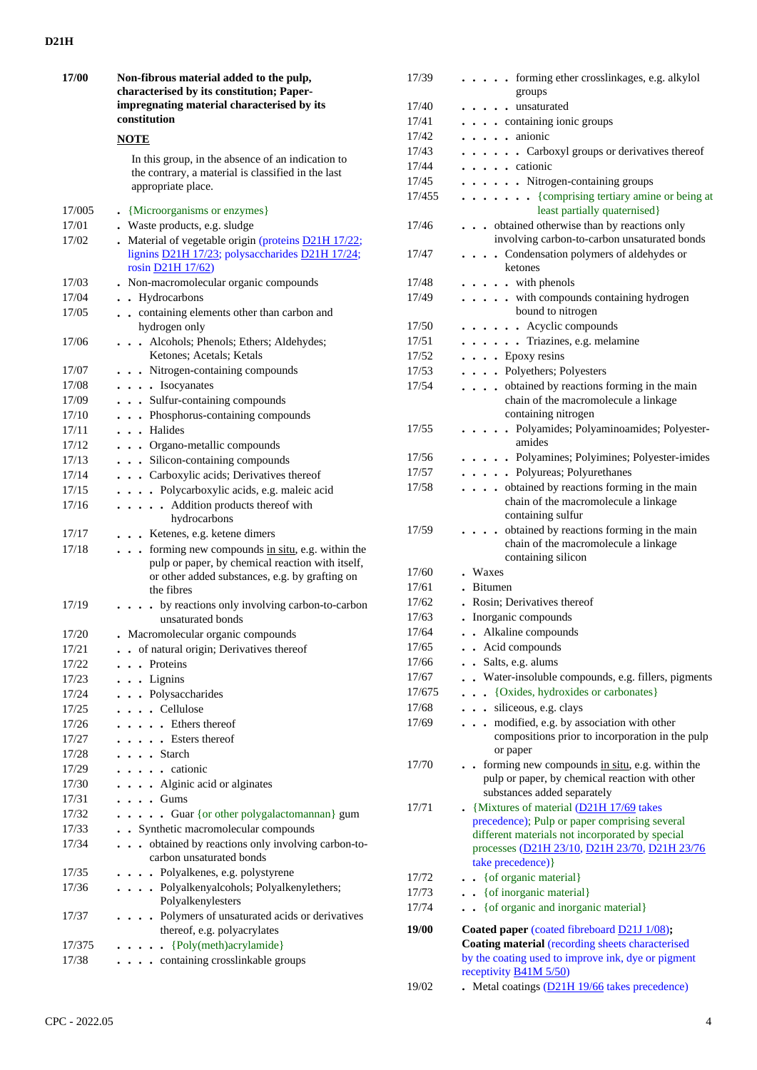| 17/00          | Non-fibrous material added to the pulp,<br>characterised by its constitution; Paper-<br>impregnating material characterised by its<br>constitution                                                                     |
|----------------|------------------------------------------------------------------------------------------------------------------------------------------------------------------------------------------------------------------------|
|                | <b>NOTE</b>                                                                                                                                                                                                            |
|                | In this group, in the absence of an indication to<br>the contrary, a material is classified in the last<br>appropriate place.                                                                                          |
| 17/005         | • {Microorganisms or enzymes}                                                                                                                                                                                          |
| 17/01          | . Waste products, e.g. sludge                                                                                                                                                                                          |
| 17/02          | Material of vegetable origin (proteins D21H 17/22;<br>lignins D21H 17/23; polysaccharides D21H 17/24;<br>rosin D21H 17/62)                                                                                             |
| 17/03          | Non-macromolecular organic compounds                                                                                                                                                                                   |
| 17/04          | Hydrocarbons<br>$\ddot{\phantom{0}}$<br>$\bullet$                                                                                                                                                                      |
| 17/05          | containing elements other than carbon and<br>hydrogen only                                                                                                                                                             |
| 17/06          | . Alcohols; Phenols; Ethers; Aldehydes;<br>Ketones; Acetals; Ketals                                                                                                                                                    |
| 17/07          | . Nitrogen-containing compounds                                                                                                                                                                                        |
| 17/08          | . Isocyanates                                                                                                                                                                                                          |
| 17/09          | . Sulfur-containing compounds                                                                                                                                                                                          |
| 17/10          | . Phosphorus-containing compounds                                                                                                                                                                                      |
| 17/11          | . Halides                                                                                                                                                                                                              |
| 17/12          | . Organo-metallic compounds                                                                                                                                                                                            |
| 17/13          | . Silicon-containing compounds                                                                                                                                                                                         |
| 17/14          | . Carboxylic acids; Derivatives thereof                                                                                                                                                                                |
| 17/15          | Polycarboxylic acids, e.g. maleic acid                                                                                                                                                                                 |
| 17/16          | . Addition products thereof with<br>hydrocarbons                                                                                                                                                                       |
| 17/17          | . . Ketenes, e.g. ketene dimers                                                                                                                                                                                        |
| 17/18<br>17/19 | . forming new compounds in situ, e.g. within the<br>pulp or paper, by chemical reaction with itself,<br>or other added substances, e.g. by grafting on<br>the fibres<br>• by reactions only involving carbon-to-carbon |
|                | unsaturated bonds                                                                                                                                                                                                      |
| 17/20<br>17/21 | • Macromolecular organic compounds<br>of natural origin; Derivatives thereof                                                                                                                                           |
| 17/22          | Proteins                                                                                                                                                                                                               |
| 17/23          | . Lignins<br>$\ddot{\phantom{0}}$                                                                                                                                                                                      |
| 17/24          | Polysaccharides<br>$\ddot{\phantom{0}}$                                                                                                                                                                                |
| 17/25          | Cellulose<br>$\ddot{\phantom{0}}$<br>$\bullet$<br>$\ddot{\phantom{0}}$                                                                                                                                                 |
| 17/26          | . Ethers thereof<br>$\bullet$                                                                                                                                                                                          |
| 17/27          | . Esters thereof<br>$\bullet$                                                                                                                                                                                          |
| 17/28          | . Starch                                                                                                                                                                                                               |
| 17/29          | . . cationic                                                                                                                                                                                                           |
| 17/30          | . Alginic acid or alginates                                                                                                                                                                                            |
| 17/31          | $\cdot$ Gums                                                                                                                                                                                                           |
| 17/32          | . Guar {or other polygalactomannan} gum                                                                                                                                                                                |
| 17/33          | Synthetic macromolecular compounds<br>$\ddot{\phantom{0}}$                                                                                                                                                             |
| 17/34          | obtained by reactions only involving carbon-to-                                                                                                                                                                        |
|                | carbon unsaturated bonds                                                                                                                                                                                               |
| 17/35          | . Polyalkenes, e.g. polystyrene                                                                                                                                                                                        |
| 17/36          | . Polyalkenyalcohols; Polyalkenylethers;<br>Polyalkenylesters                                                                                                                                                          |
| 17/37          | . Polymers of unsaturated acids or derivatives<br>thereof, e.g. polyacrylates                                                                                                                                          |
| 17/375         | {Poly(meth)acrylamide}<br>$\ddot{\phantom{0}}$                                                                                                                                                                         |
| 17/38          | containing crosslinkable groups                                                                                                                                                                                        |

|        | groups                                                                  |
|--------|-------------------------------------------------------------------------|
| 17/40  | . unsaturated                                                           |
| 17/41  | containing ionic groups                                                 |
| 17/42  | anionic<br>$\cdot \cdot \cdot$                                          |
| 17/43  | . Carboxyl groups or derivatives thereof                                |
| 17/44  | . cationic                                                              |
| 17/45  | . Nitrogen-containing groups                                            |
| 17/455 | . {comprising tertiary amine or being at                                |
|        | least partially quaternised}                                            |
| 17/46  | obtained otherwise than by reactions only                               |
|        | involving carbon-to-carbon unsaturated bonds                            |
| 17/47  | . Condensation polymers of aldehydes or                                 |
|        | ketones                                                                 |
| 17/48  | $\ldots$ with phenols                                                   |
| 17/49  | . with compounds containing hydrogen                                    |
|        | bound to nitrogen                                                       |
| 17/50  | Acyclic compounds<br>.                                                  |
| 17/51  | . Triazines, e.g. melamine                                              |
| 17/52  | $\cdots$ $\cdots$ Epoxy resins                                          |
| 17/53  | . Polyethers; Polyesters                                                |
| 17/54  | . obtained by reactions forming in the main                             |
|        | chain of the macromolecule a linkage                                    |
|        | containing nitrogen                                                     |
| 17/55  | . Polyamides; Polyaminoamides; Polyester-                               |
|        | amides                                                                  |
| 17/56  | . Polyamines; Polyimines; Polyester-imides                              |
| 17/57  | . Polyureas; Polyurethanes                                              |
| 17/58  | obtained by reactions forming in the main                               |
|        | chain of the macromolecule a linkage                                    |
|        | containing sulfur                                                       |
| 17/59  | . obtained by reactions forming in the main                             |
|        | chain of the macromolecule a linkage                                    |
|        | containing silicon                                                      |
| 17/60  | . Waxes                                                                 |
| 17/61  | . Bitumen                                                               |
| 17/62  | . Rosin; Derivatives thereof                                            |
| 17/63  | Inorganic compounds                                                     |
| 17/64  | . Alkaline compounds                                                    |
| 17/65  | . . Acid compounds                                                      |
| 17/66  | Salts, e.g. alums                                                       |
| 17/67  | . Water-insoluble compounds, e.g. fillers, pigments                     |
| 17/675 | {Oxides, hydroxides or carbonates}<br>$\ddot{\phantom{0}}$<br>$\bullet$ |
| 17/68  | siliceous, e.g. clays<br>$\ddot{\phantom{0}}$                           |
| 17/69  | modified, e.g. by association with other<br>$\ddot{\phantom{a}}$        |
|        | compositions prior to incorporation in the pulp                         |
|        | or paper                                                                |
| 17/70  | . forming new compounds in situ, e.g. within the                        |
|        | pulp or paper, by chemical reaction with other                          |
|        | substances added separately                                             |
| 17/71  | • {Mixtures of material $(D21H 17/69)$ takes                            |
|        | precedence); Pulp or paper comprising several                           |
|        | different materials not incorporated by special                         |
|        | processes (D21H 23/10, D21H 23/70, D21H 23/76                           |
|        | take precedence) }                                                      |
| 17/72  | . . { of organic material }                                             |
| 17/73  | . { of inorganic material }                                             |
| 17/74  | {of organic and inorganic material}                                     |
| 19/00  | Coated paper (coated fibreboard D21J 1/08);                             |
|        | Coating material (recording sheets characterised                        |
|        | by the coating used to improve ink, dye or pigment                      |
|        | receptivity <b>B41M 5/50</b> )                                          |
| 19/02  | $\blacksquare$ Metal coatings ( $D21H19/66$ takes precedence)           |
|        |                                                                         |

17/39 **. . . . .** forming ether crosslinkages, e.g. alkylol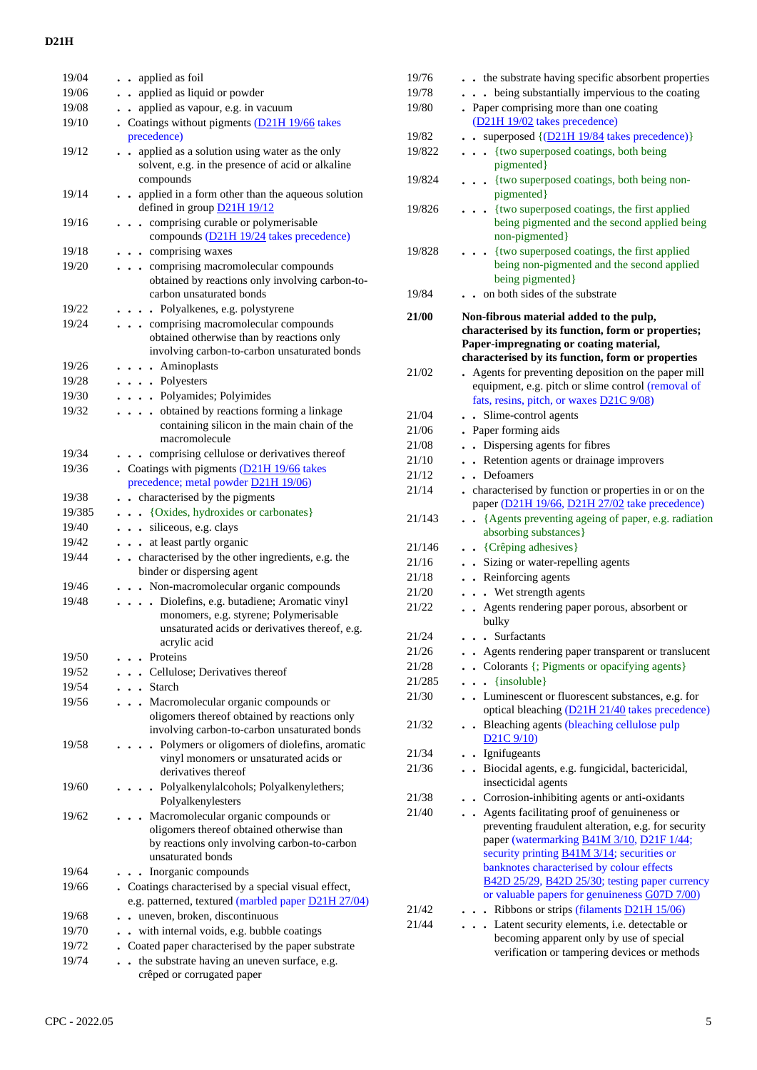| 19/04  | applied as foil<br>$\bullet$                                                                                                                           |
|--------|--------------------------------------------------------------------------------------------------------------------------------------------------------|
| 19/06  |                                                                                                                                                        |
|        | applied as liquid or powder<br>$\ddot{\phantom{0}}$                                                                                                    |
| 19/08  | applied as vapour, e.g. in vacuum                                                                                                                      |
| 19/10  | Coatings without pigments (D21H 19/66 takes                                                                                                            |
|        | precedence)                                                                                                                                            |
| 19/12  | applied as a solution using water as the only<br>solvent, e.g. in the presence of acid or alkaline<br>compounds                                        |
| 19/14  | applied in a form other than the aqueous solution<br>defined in group D21H 19/12                                                                       |
| 19/16  | . comprising curable or polymerisable<br>compounds (D21H 19/24 takes precedence)                                                                       |
| 19/18  | . . comprising waxes                                                                                                                                   |
| 19/20  | comprising macromolecular compounds<br>obtained by reactions only involving carbon-to-<br>carbon unsaturated bonds                                     |
| 19/22  | . . Polyalkenes, e.g. polystyrene                                                                                                                      |
| 19/24  | comprising macromolecular compounds<br>obtained otherwise than by reactions only<br>involving carbon-to-carbon unsaturated bonds                       |
| 19/26  | . Aminoplasts                                                                                                                                          |
| 19/28  | . Polyesters                                                                                                                                           |
| 19/30  | . Polyamides; Polyimides                                                                                                                               |
| 19/32  | obtained by reactions forming a linkage<br>containing silicon in the main chain of the<br>macromolecule                                                |
| 19/34  | comprising cellulose or derivatives thereof<br>$\ddot{\phantom{0}}$                                                                                    |
| 19/36  | • Coatings with pigments (D21H 19/66 takes<br>precedence; metal powder D21H 19/06)                                                                     |
| 19/38  | characterised by the pigments<br>$\ddot{\phantom{0}}$                                                                                                  |
| 19/385 | . {Oxides, hydroxides or carbonates}                                                                                                                   |
| 19/40  | . . siliceous, e.g. clays                                                                                                                              |
| 19/42  | at least partly organic<br>$\ddot{\phantom{0}}$                                                                                                        |
| 19/44  | . characterised by the other ingredients, e.g. the<br>binder or dispersing agent                                                                       |
| 19/46  | . Non-macromolecular organic compounds                                                                                                                 |
| 19/48  | . Diolefins, e.g. butadiene; Aromatic vinyl<br>monomers, e.g. styrene; Polymerisable<br>unsaturated acids or derivatives thereof, e.g.<br>acrylic acid |
| 19/50  | Proteins                                                                                                                                               |
| 19/52  | . Cellulose; Derivatives thereof                                                                                                                       |
| 19/54  | . Starch                                                                                                                                               |
| 19/56  | Macromolecular organic compounds or                                                                                                                    |
|        | oligomers thereof obtained by reactions only<br>involving carbon-to-carbon unsaturated bonds                                                           |
| 19/58  | Polymers or oligomers of diolefins, aromatic<br>vinyl monomers or unsaturated acids or<br>derivatives thereof                                          |
| 19/60  | · Polyalkenylalcohols; Polyalkenylethers;<br>Polyalkenylesters                                                                                         |
| 19/62  | Macromolecular organic compounds or<br>oligomers thereof obtained otherwise than<br>by reactions only involving carbon-to-carbon<br>unsaturated bonds  |
| 19/64  | Inorganic compounds<br>$\ddot{\phantom{0}}$                                                                                                            |
| 19/66  | . Coatings characterised by a special visual effect,<br>e.g. patterned, textured (marbled paper D21H 27/04)                                            |
| 19/68  | uneven, broken, discontinuous                                                                                                                          |
| 19/70  | with internal voids, e.g. bubble coatings                                                                                                              |
| 19/72  | Coated paper characterised by the paper substrate                                                                                                      |
| 19/74  | the substrate having an uneven surface, e.g.                                                                                                           |
|        |                                                                                                                                                        |

crêped or corrugated paper

| 19/76  | the substrate having specific absorbent properties                                              |
|--------|-------------------------------------------------------------------------------------------------|
| 19/78  | . being substantially impervious to the coating                                                 |
| 19/80  | Paper comprising more than one coating                                                          |
|        | (D21H 19/02 takes precedence)                                                                   |
| 19/82  | superposed {(D21H 19/84 takes precedence)}<br>$\sim$                                            |
| 19/822 | {two superposed coatings, both being                                                            |
|        | pigmented}                                                                                      |
| 19/824 | {two superposed coatings, both being non-                                                       |
|        | pigmented}                                                                                      |
| 19/826 | {two superposed coatings, the first applied<br>$\bullet$                                        |
|        | being pigmented and the second applied being                                                    |
|        | non-pigmented}                                                                                  |
| 19/828 | {two superposed coatings, the first applied                                                     |
|        | being non-pigmented and the second applied                                                      |
|        | being pigmented}                                                                                |
| 19/84  | on both sides of the substrate                                                                  |
|        |                                                                                                 |
| 21/00  | Non-fibrous material added to the pulp,                                                         |
|        | characterised by its function, form or properties;                                              |
|        | Paper-impregnating or coating material,                                                         |
|        | characterised by its function, form or properties                                               |
| 21/02  | Agents for preventing deposition on the paper mill                                              |
|        | equipment, e.g. pitch or slime control (removal of                                              |
|        | fats, resins, pitch, or waxes D21C 9/08)                                                        |
| 21/04  | Slime-control agents<br>$\ddot{\phantom{a}}$                                                    |
| 21/06  | Paper forming aids                                                                              |
| 21/08  | Dispersing agents for fibres<br>$\bullet$                                                       |
| 21/10  | Retention agents or drainage improvers<br>$\ddot{\phantom{0}}$                                  |
| 21/12  | Defoamers<br>$\cdot$                                                                            |
| 21/14  | characterised by function or properties in or on the                                            |
|        | paper (D21H 19/66, D21H 27/02 take precedence)                                                  |
| 21/143 | {Agents preventing ageing of paper, e.g. radiation                                              |
|        | absorbing substances}                                                                           |
| 21/146 | . . {Crêping adhesives}                                                                         |
| 21/16  | • Sizing or water-repelling agents                                                              |
| 21/18  | . Reinforcing agents                                                                            |
| 21/20  | . . Wet strength agents                                                                         |
| 21/22  | Agents rendering paper porous, absorbent or                                                     |
|        | bulky                                                                                           |
| 21/24  | Surfactants                                                                                     |
| 21/26  | Agents rendering paper transparent or translucent                                               |
| 21/28  | Colorants {; Pigments or opacifying agents}                                                     |
| 21/285 | {insoluble}<br>$\ddot{\phantom{0}}$<br>$\ddot{\phantom{0}}$                                     |
| 21/30  | Luminescent or fluorescent substances, e.g. for<br>$\ddot{\phantom{0}}$                         |
|        | optical bleaching (D21H 21/40 takes precedence)                                                 |
| 21/32  | Bleaching agents (bleaching cellulose pulp<br>$\bullet$                                         |
|        | $D21C$ 9/10)                                                                                    |
| 21/34  | . Ignifugeants                                                                                  |
| 21/36  | . Biocidal agents, e.g. fungicidal, bactericidal,                                               |
|        | insecticidal agents                                                                             |
| 21/38  | • Corrosion-inhibiting agents or anti-oxidants                                                  |
| 21/40  | Agents facilitating proof of genuineness or                                                     |
|        | preventing fraudulent alteration, e.g. for security                                             |
|        |                                                                                                 |
|        | paper (watermarking B41M 3/10, D21F 1/44;                                                       |
|        | security printing <b>B41M 3/14</b> ; securities or<br>banknotes characterised by colour effects |
|        | B42D 25/29, B42D 25/30; testing paper currency                                                  |
|        | or valuable papers for genuineness G07D 7/00)                                                   |
| 21/42  | Ribbons or strips (filaments D21H 15/06)                                                        |
| 21/44  | Latent security elements, i.e. detectable or<br>$\ddot{\phantom{0}}$                            |
|        | becoming apparent only by use of special                                                        |
|        | verification or tampering devices or methods                                                    |
|        |                                                                                                 |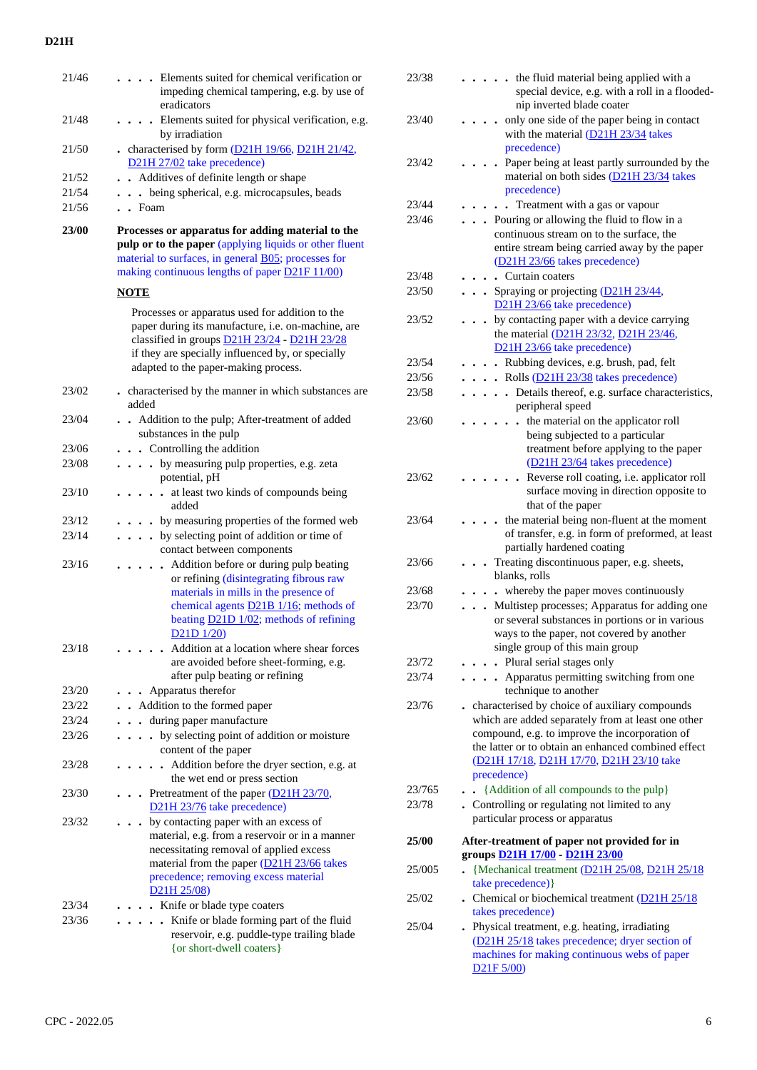| 21/46 | Elements suited for chemical verification or<br>impeding chemical tampering, e.g. by use of<br>eradicators                                                                                                                                                      |
|-------|-----------------------------------------------------------------------------------------------------------------------------------------------------------------------------------------------------------------------------------------------------------------|
| 21/48 | • Elements suited for physical verification, e.g.<br>by irradiation                                                                                                                                                                                             |
| 21/50 | characterised by form $(D21H 19/66, D21H 21/42)$ ,<br>D <sub>21</sub> H <sub>27</sub> /0 <sub>2</sub> take precedence)                                                                                                                                          |
| 21/52 | . Additives of definite length or shape                                                                                                                                                                                                                         |
| 21/54 | . . being spherical, e.g. microcapsules, beads                                                                                                                                                                                                                  |
| 21/56 | $\cdot$ Foam                                                                                                                                                                                                                                                    |
| 23/00 | Processes or apparatus for adding material to the<br>pulp or to the paper (applying liquids or other fluent<br>material to surfaces, in general <b>B05</b> ; processes for<br>making continuous lengths of paper D21F 11/00)                                    |
|       | <b>NOTE</b>                                                                                                                                                                                                                                                     |
|       | Processes or apparatus used for addition to the<br>paper during its manufacture, i.e. on-machine, are<br>classified in groups D21H 23/24 - D21H 23/28<br>if they are specially influenced by, or specially<br>adapted to the paper-making process.              |
| 23/02 | . characterised by the manner in which substances are<br>added                                                                                                                                                                                                  |
| 23/04 | • Addition to the pulp; After-treatment of added<br>substances in the pulp                                                                                                                                                                                      |
| 23/06 | . Controlling the addition                                                                                                                                                                                                                                      |
| 23/08 | by measuring pulp properties, e.g. zeta<br>.<br>potential, pH                                                                                                                                                                                                   |
| 23/10 | at least two kinds of compounds being<br>$\ddot{\phantom{a}}$<br>$\bullet$<br>$\ddot{\phantom{a}}$<br>added                                                                                                                                                     |
| 23/12 | by measuring properties of the formed web                                                                                                                                                                                                                       |
| 23/14 | • by selecting point of addition or time of<br>contact between components                                                                                                                                                                                       |
| 23/16 | Addition before or during pulp beating<br>or refining (disintegrating fibrous raw<br>materials in mills in the presence of<br>chemical agents <b>D21B</b> 1/16; methods of<br>beating D21D 1/02; methods of refining<br>D21D1/20                                |
| 23/18 | Addition at a location where shear forces<br>are avoided before sheet-forming, e.g.<br>after pulp beating or refining                                                                                                                                           |
| 23/20 | Apparatus therefor                                                                                                                                                                                                                                              |
| 23/22 | . Addition to the formed paper                                                                                                                                                                                                                                  |
| 23/24 | during paper manufacture                                                                                                                                                                                                                                        |
| 23/26 | • by selecting point of addition or moisture<br>content of the paper                                                                                                                                                                                            |
| 23/28 | Addition before the dryer section, e.g. at<br>the wet end or press section                                                                                                                                                                                      |
| 23/30 | • Pretreatment of the paper $(D21H 23/70)$ ,<br>D21H 23/76 take precedence)                                                                                                                                                                                     |
| 23/32 | by contacting paper with an excess of<br>material, e.g. from a reservoir or in a manner<br>necessitating removal of applied excess<br>material from the paper (D21H 23/66 takes<br>precedence; removing excess material<br>D <sub>21</sub> H <sub>25</sub> /08) |
| 23/34 | Knife or blade type coaters                                                                                                                                                                                                                                     |
| 23/36 | Knife or blade forming part of the fluid<br>$\ddot{\phantom{a}}$                                                                                                                                                                                                |
|       | reservoir, e.g. puddle-type trailing blade<br>{or short-dwell coaters}                                                                                                                                                                                          |

| 23/38  | the fluid material being applied with a<br>special device, e.g. with a roll in a flooded-<br>nip inverted blade coater                                                                                                 |
|--------|------------------------------------------------------------------------------------------------------------------------------------------------------------------------------------------------------------------------|
| 23/40  | only one side of the paper being in contact<br>with the material (D21H 23/34 takes<br>precedence)                                                                                                                      |
| 23/42  | Paper being at least partly surrounded by the<br>material on both sides (D21H 23/34 takes<br>precedence)                                                                                                               |
| 23/44  | Treatment with a gas or vapour                                                                                                                                                                                         |
| 23/46  | Pouring or allowing the fluid to flow in a                                                                                                                                                                             |
|        | continuous stream on to the surface, the<br>entire stream being carried away by the paper<br>(D21H 23/66 takes precedence)                                                                                             |
| 23/48  | . Curtain coaters                                                                                                                                                                                                      |
| 23/50  | Spraying or projecting (D21H 23/44,<br>D21H 23/66 take precedence)                                                                                                                                                     |
| 23/52  | by contacting paper with a device carrying<br>$\ddot{\phantom{0}}$<br>the material (D21H 23/32, D21H 23/46,                                                                                                            |
|        | D21H 23/66 take precedence)                                                                                                                                                                                            |
| 23/54  | . Rubbing devices, e.g. brush, pad, felt                                                                                                                                                                               |
| 23/56  | . Rolls (D21H 23/38 takes precedence)                                                                                                                                                                                  |
| 23/58  | . Details thereof, e.g. surface characteristics,<br>peripheral speed                                                                                                                                                   |
| 23/60  | the material on the applicator roll<br>$\ddot{\phantom{a}}$                                                                                                                                                            |
|        | being subjected to a particular<br>treatment before applying to the paper<br>(D21H 23/64 takes precedence)                                                                                                             |
| 23/62  | Reverse roll coating, i.e. applicator roll<br>surface moving in direction opposite to<br>that of the paper                                                                                                             |
| 23/64  | the material being non-fluent at the moment<br>of transfer, e.g. in form of preformed, at least<br>partially hardened coating                                                                                          |
| 23/66  | Treating discontinuous paper, e.g. sheets,<br>blanks, rolls                                                                                                                                                            |
| 23/68  | whereby the paper moves continuously                                                                                                                                                                                   |
| 23/70  | Multistep processes; Apparatus for adding one<br>or several substances in portions or in various<br>ways to the paper, not covered by another<br>single group of this main group                                       |
| 23/72  | • Plural serial stages only                                                                                                                                                                                            |
| 23/74  | Apparatus permitting switching from one                                                                                                                                                                                |
|        | technique to another<br>. characterised by choice of auxiliary compounds                                                                                                                                               |
| 23/76  | which are added separately from at least one other<br>compound, e.g. to improve the incorporation of<br>the latter or to obtain an enhanced combined effect<br>(D21H 17/18, D21H 17/70, D21H 23/10 take<br>precedence) |
| 23/765 | {Addition of all compounds to the pulp}<br>$\ddot{\phantom{a}}$                                                                                                                                                        |
| 23/78  | . Controlling or regulating not limited to any<br>particular process or apparatus                                                                                                                                      |
| 25/00  | After-treatment of paper not provided for in<br>groups <b>D21H 17/00</b> - D21H 23/00                                                                                                                                  |
| 25/005 | {Mechanical treatment (D21H 25/08, D21H 25/18                                                                                                                                                                          |
|        | take precedence) }                                                                                                                                                                                                     |
| 25/02  | • Chemical or biochemical treatment $(D21H 25/18)$                                                                                                                                                                     |
| 25/04  | takes precedence)<br>Physical treatment, e.g. heating, irradiating                                                                                                                                                     |
|        | (D21H 25/18 takes precedence; dryer section of<br>machines for making continuous webs of paper                                                                                                                         |
|        | $D21F\,5/00$                                                                                                                                                                                                           |